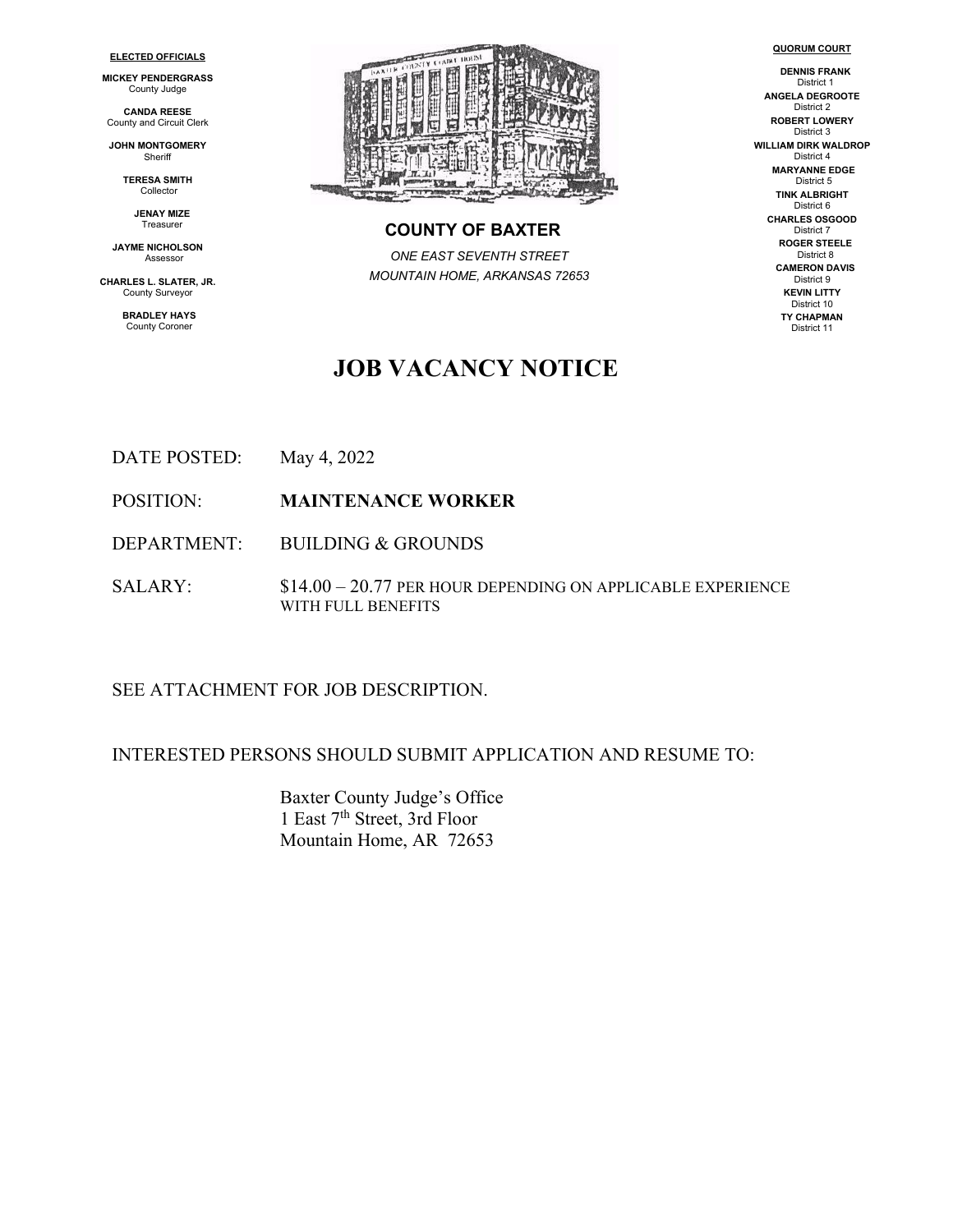#### **ELECTED OFFICIALS**

**MICKEY PENDERGRASS** County Judge

**CANDA REESE** County and Circuit Clerk

**JOHN MONTGOMERY Sheriff** 

> **TERESA SMITH** Collector

> > **JENAY MIZE** Treasurer

**JAYME NICHOLSON** Assessor

**CHARLES L. SLATER, JR.** County Surveyor

> **BRADLEY HAYS** County Coroner



# **COUNTY OF BAXTER**

*ONE EAST SEVENTH STREET MOUNTAIN HOME, ARKANSAS 72653*

#### **DENNIS FRANK** District 1 **ANGELA DEGROOTE** District 2 **ROBERT LOWERY** District 3 **WILLIAM DIRK WALDROP** District 4 **MARYANNE EDGE**

**QUORUM COURT**

District 5 **TINK ALBRIGHT** District 6 **CHARLES OSGOOD** District 7 **ROGER STEELE** District 8 **CAMERON DAVIS** District 9 **KEVIN LITTY** District 10 **TY CHAPMAN** District 11

# **JOB VACANCY NOTICE**

- DATE POSTED: May 4, 2022
- POSITION: **MAINTENANCE WORKER**

DEPARTMENT: BUILDING & GROUNDS

SALARY: \$14.00 – 20.77 PER HOUR DEPENDING ON APPLICABLE EXPERIENCE WITH FULL BENEFITS

#### SEE ATTACHMENT FOR JOB DESCRIPTION.

#### INTERESTED PERSONS SHOULD SUBMIT APPLICATION AND RESUME TO:

Baxter County Judge's Office 1 East 7th Street, 3rd Floor Mountain Home, AR 72653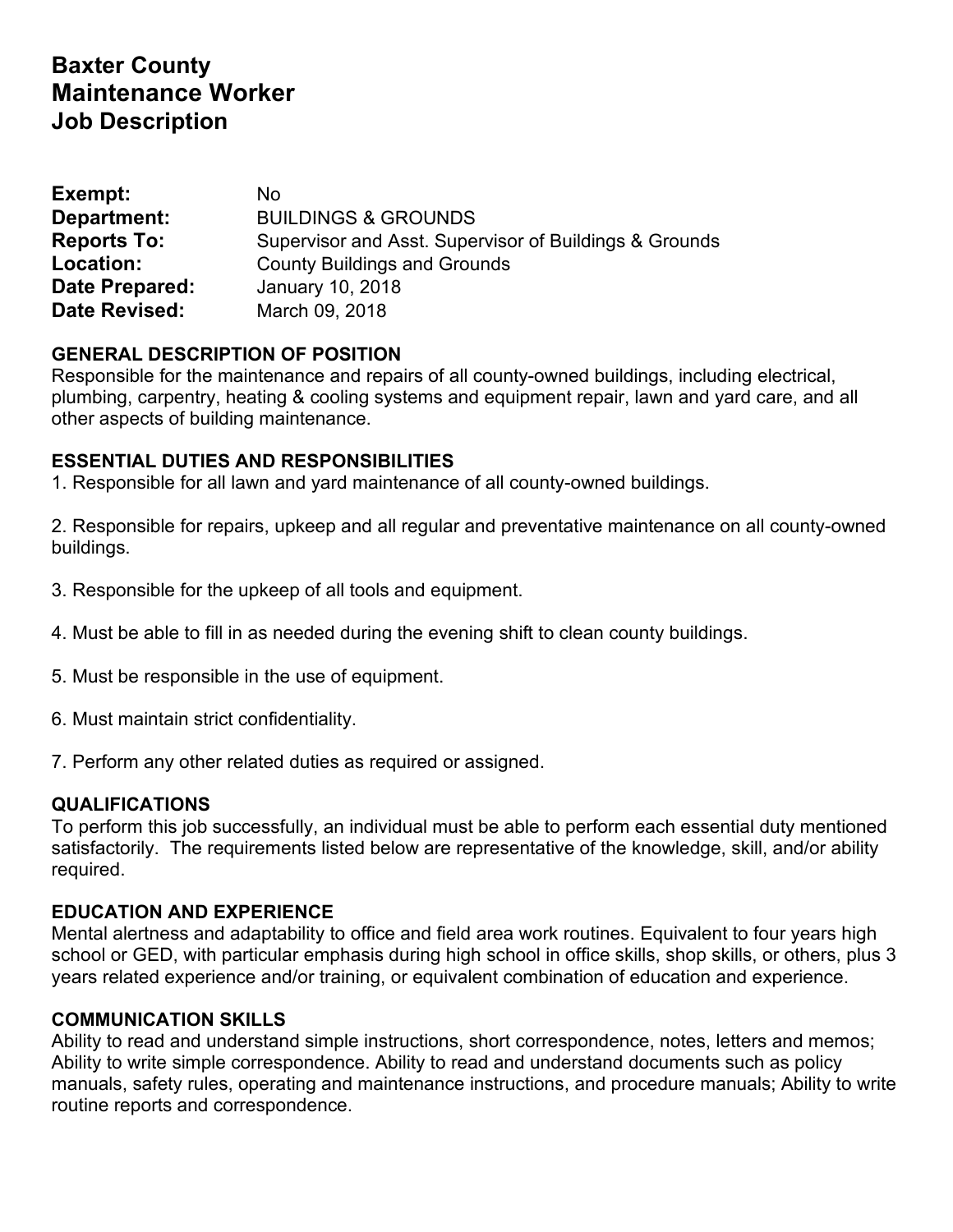# **Baxter County Maintenance Worker Job Description**

| Exempt:            | No                                                     |
|--------------------|--------------------------------------------------------|
| Department:        | <b>BUILDINGS &amp; GROUNDS</b>                         |
| <b>Reports To:</b> | Supervisor and Asst. Supervisor of Buildings & Grounds |
| Location:          | <b>County Buildings and Grounds</b>                    |
| Date Prepared:     | January 10, 2018                                       |
| Date Revised:      | March 09, 2018                                         |

## **GENERAL DESCRIPTION OF POSITION**

Responsible for the maintenance and repairs of all county-owned buildings, including electrical, plumbing, carpentry, heating & cooling systems and equipment repair, lawn and yard care, and all other aspects of building maintenance.

### **ESSENTIAL DUTIES AND RESPONSIBILITIES**

1. Responsible for all lawn and yard maintenance of all county-owned buildings.

2. Responsible for repairs, upkeep and all regular and preventative maintenance on all county-owned buildings.

- 3. Responsible for the upkeep of all tools and equipment.
- 4. Must be able to fill in as needed during the evening shift to clean county buildings.
- 5. Must be responsible in the use of equipment.
- 6. Must maintain strict confidentiality.
- 7. Perform any other related duties as required or assigned.

### **QUALIFICATIONS**

To perform this job successfully, an individual must be able to perform each essential duty mentioned satisfactorily. The requirements listed below are representative of the knowledge, skill, and/or ability required.

### **EDUCATION AND EXPERIENCE**

Mental alertness and adaptability to office and field area work routines. Equivalent to four years high school or GED, with particular emphasis during high school in office skills, shop skills, or others, plus 3 years related experience and/or training, or equivalent combination of education and experience.

### **COMMUNICATION SKILLS**

Ability to read and understand simple instructions, short correspondence, notes, letters and memos; Ability to write simple correspondence. Ability to read and understand documents such as policy manuals, safety rules, operating and maintenance instructions, and procedure manuals; Ability to write routine reports and correspondence.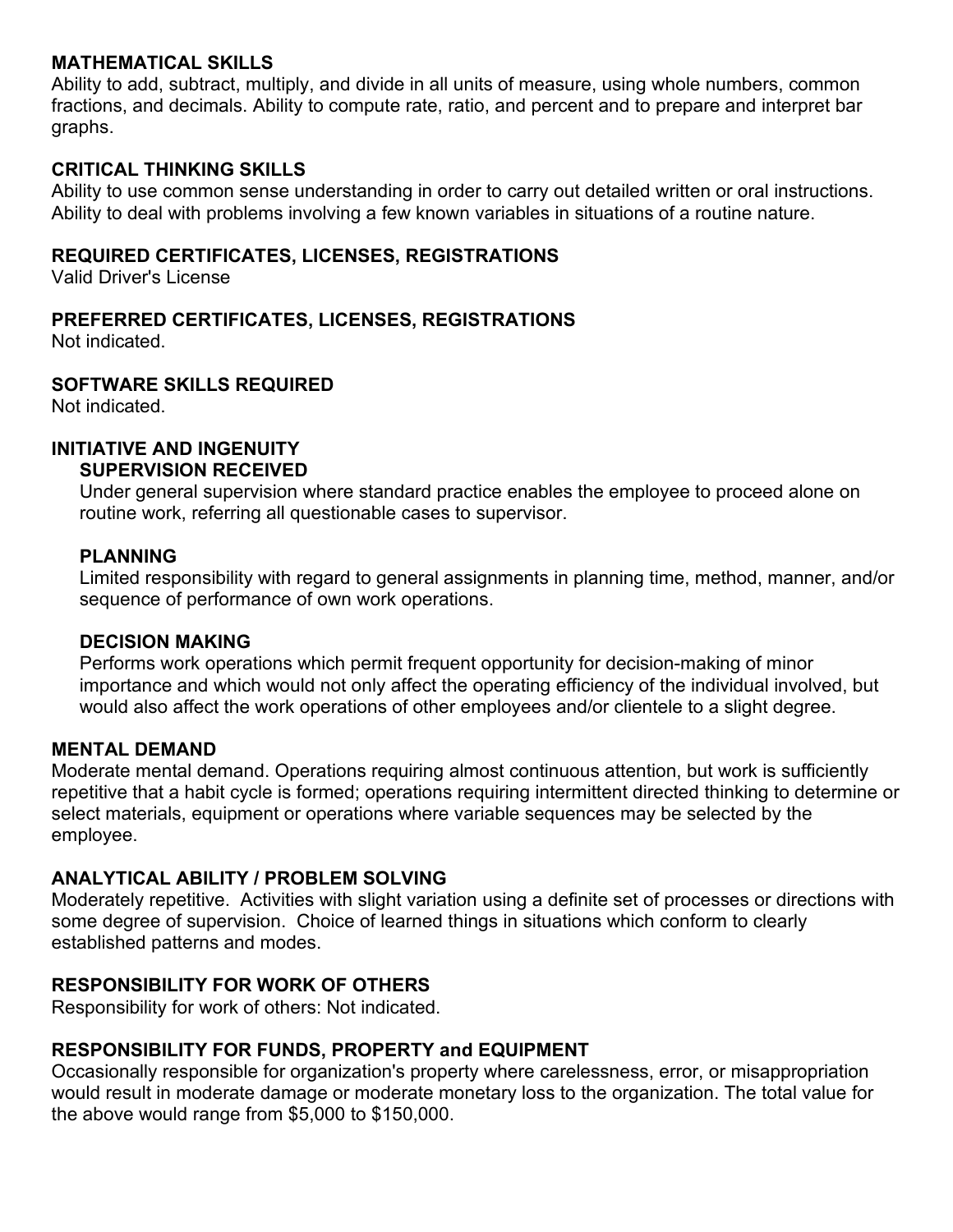#### **MATHEMATICAL SKILLS**

Ability to add, subtract, multiply, and divide in all units of measure, using whole numbers, common fractions, and decimals. Ability to compute rate, ratio, and percent and to prepare and interpret bar graphs.

### **CRITICAL THINKING SKILLS**

Ability to use common sense understanding in order to carry out detailed written or oral instructions. Ability to deal with problems involving a few known variables in situations of a routine nature.

#### **REQUIRED CERTIFICATES, LICENSES, REGISTRATIONS**

Valid Driver's License

### **PREFERRED CERTIFICATES, LICENSES, REGISTRATIONS**

Not indicated.

### **SOFTWARE SKILLS REQUIRED**

Not indicated.

## **INITIATIVE AND INGENUITY**

#### **SUPERVISION RECEIVED**

Under general supervision where standard practice enables the employee to proceed alone on routine work, referring all questionable cases to supervisor.

### **PLANNING**

Limited responsibility with regard to general assignments in planning time, method, manner, and/or sequence of performance of own work operations.

#### **DECISION MAKING**

Performs work operations which permit frequent opportunity for decision-making of minor importance and which would not only affect the operating efficiency of the individual involved, but would also affect the work operations of other employees and/or clientele to a slight degree.

### **MENTAL DEMAND**

Moderate mental demand. Operations requiring almost continuous attention, but work is sufficiently repetitive that a habit cycle is formed; operations requiring intermittent directed thinking to determine or select materials, equipment or operations where variable sequences may be selected by the employee.

### **ANALYTICAL ABILITY / PROBLEM SOLVING**

Moderately repetitive. Activities with slight variation using a definite set of processes or directions with some degree of supervision. Choice of learned things in situations which conform to clearly established patterns and modes.

### **RESPONSIBILITY FOR WORK OF OTHERS**

Responsibility for work of others: Not indicated.

### **RESPONSIBILITY FOR FUNDS, PROPERTY and EQUIPMENT**

Occasionally responsible for organization's property where carelessness, error, or misappropriation would result in moderate damage or moderate monetary loss to the organization. The total value for the above would range from \$5,000 to \$150,000.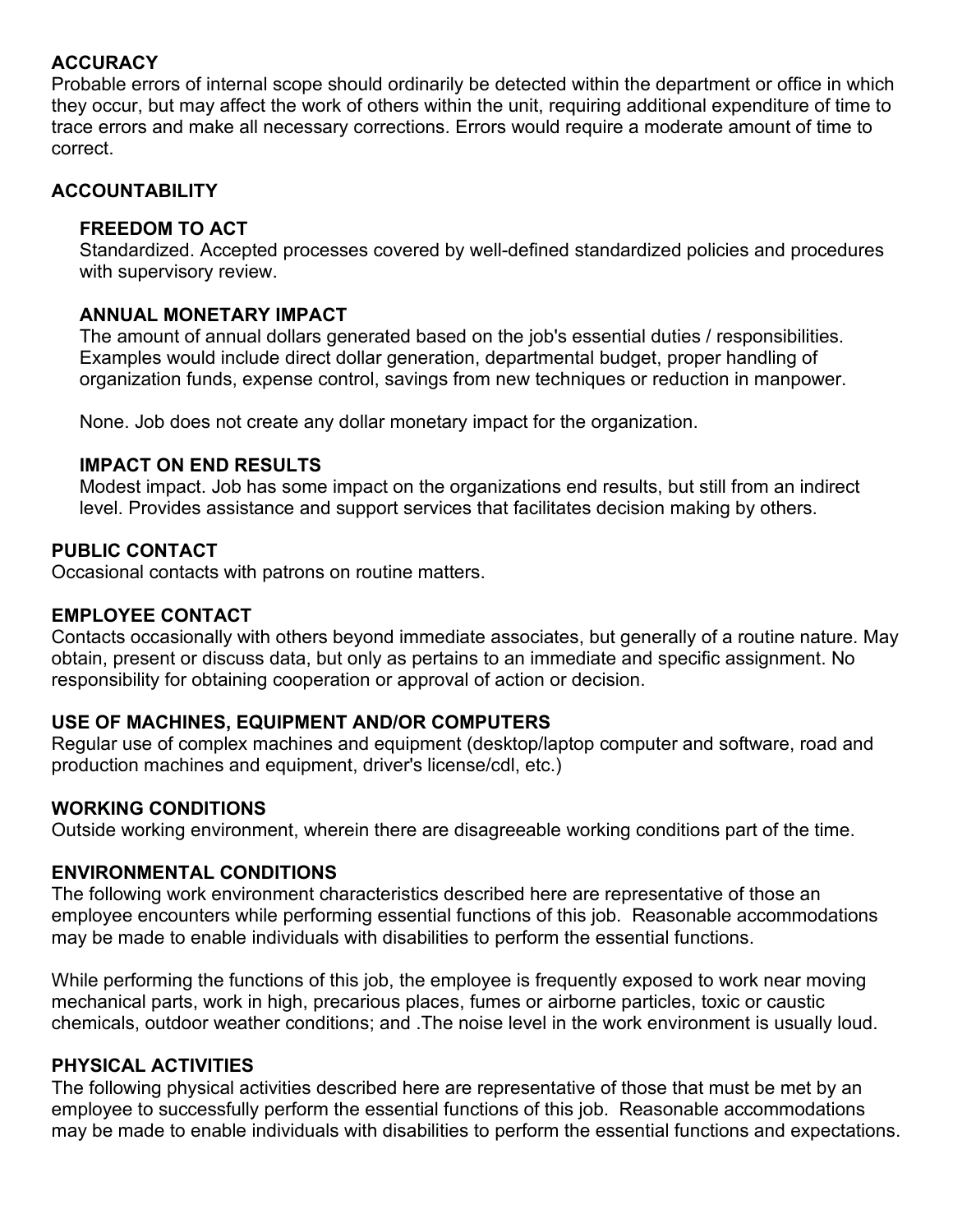## **ACCURACY**

Probable errors of internal scope should ordinarily be detected within the department or office in which they occur, but may affect the work of others within the unit, requiring additional expenditure of time to trace errors and make all necessary corrections. Errors would require a moderate amount of time to correct.

## **ACCOUNTABILITY**

### **FREEDOM TO ACT**

Standardized. Accepted processes covered by well-defined standardized policies and procedures with supervisory review.

### **ANNUAL MONETARY IMPACT**

The amount of annual dollars generated based on the job's essential duties / responsibilities. Examples would include direct dollar generation, departmental budget, proper handling of organization funds, expense control, savings from new techniques or reduction in manpower.

None. Job does not create any dollar monetary impact for the organization.

### **IMPACT ON END RESULTS**

Modest impact. Job has some impact on the organizations end results, but still from an indirect level. Provides assistance and support services that facilitates decision making by others.

### **PUBLIC CONTACT**

Occasional contacts with patrons on routine matters.

### **EMPLOYEE CONTACT**

Contacts occasionally with others beyond immediate associates, but generally of a routine nature. May obtain, present or discuss data, but only as pertains to an immediate and specific assignment. No responsibility for obtaining cooperation or approval of action or decision.

## **USE OF MACHINES, EQUIPMENT AND/OR COMPUTERS**

Regular use of complex machines and equipment (desktop/laptop computer and software, road and production machines and equipment, driver's license/cdl, etc.)

### **WORKING CONDITIONS**

Outside working environment, wherein there are disagreeable working conditions part of the time.

### **ENVIRONMENTAL CONDITIONS**

The following work environment characteristics described here are representative of those an employee encounters while performing essential functions of this job. Reasonable accommodations may be made to enable individuals with disabilities to perform the essential functions.

While performing the functions of this job, the employee is frequently exposed to work near moving mechanical parts, work in high, precarious places, fumes or airborne particles, toxic or caustic chemicals, outdoor weather conditions; and .The noise level in the work environment is usually loud.

## **PHYSICAL ACTIVITIES**

The following physical activities described here are representative of those that must be met by an employee to successfully perform the essential functions of this job. Reasonable accommodations may be made to enable individuals with disabilities to perform the essential functions and expectations.